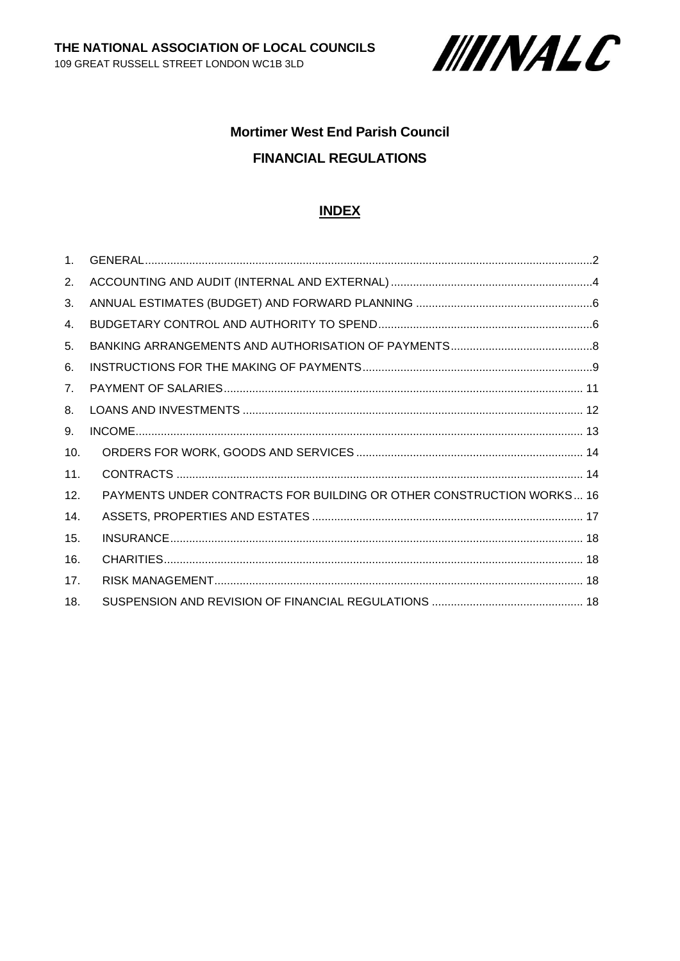

# **Mortimer West End Parish Council FINANCIAL REGULATIONS**

## **INDEX**

| 1 <sub>1</sub>  |                                                                      |
|-----------------|----------------------------------------------------------------------|
| 2.              |                                                                      |
| 3.              |                                                                      |
| 4.              |                                                                      |
| 5.              |                                                                      |
| 6.              |                                                                      |
| 7 <sub>1</sub>  |                                                                      |
| 8.              |                                                                      |
| 9.              |                                                                      |
| 10.             |                                                                      |
| 11.             |                                                                      |
| 12.             | PAYMENTS UNDER CONTRACTS FOR BUILDING OR OTHER CONSTRUCTION WORKS 16 |
| 14.             |                                                                      |
| 15.             |                                                                      |
| 16.             |                                                                      |
| 17 <sub>1</sub> |                                                                      |
| 18.             |                                                                      |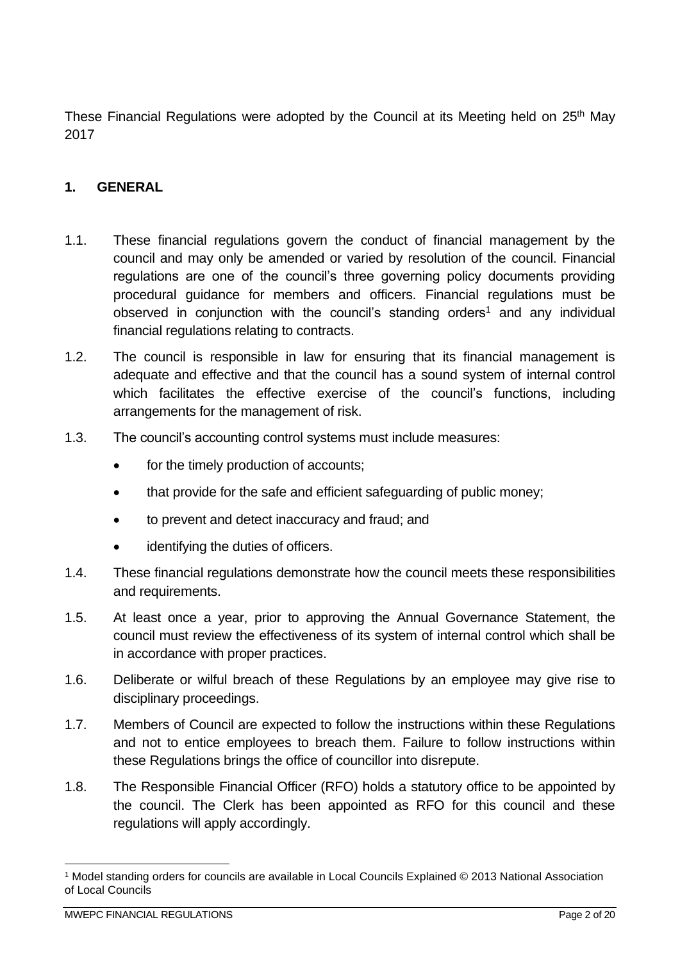These Financial Regulations were adopted by the Council at its Meeting held on 25<sup>th</sup> May 2017

# <span id="page-1-0"></span>**1. GENERAL**

- 1.1. These financial regulations govern the conduct of financial management by the council and may only be amended or varied by resolution of the council. Financial regulations are one of the council's three governing policy documents providing procedural guidance for members and officers. Financial regulations must be observed in conjunction with the council's standing orders<sup>1</sup> and any individual financial regulations relating to contracts.
- 1.2. The council is responsible in law for ensuring that its financial management is adequate and effective and that the council has a sound system of internal control which facilitates the effective exercise of the council's functions, including arrangements for the management of risk.
- 1.3. The council's accounting control systems must include measures:
	- for the timely production of accounts;
	- that provide for the safe and efficient safeguarding of public money;
	- to prevent and detect inaccuracy and fraud; and
	- identifying the duties of officers.
- 1.4. These financial regulations demonstrate how the council meets these responsibilities and requirements.
- 1.5. At least once a year, prior to approving the Annual Governance Statement, the council must review the effectiveness of its system of internal control which shall be in accordance with proper practices.
- 1.6. Deliberate or wilful breach of these Regulations by an employee may give rise to disciplinary proceedings.
- 1.7. Members of Council are expected to follow the instructions within these Regulations and not to entice employees to breach them. Failure to follow instructions within these Regulations brings the office of councillor into disrepute.
- 1.8. The Responsible Financial Officer (RFO) holds a statutory office to be appointed by the council. The Clerk has been appointed as RFO for this council and these regulations will apply accordingly.

<sup>1</sup> Model standing orders for councils are available in Local Councils Explained © 2013 National Association of Local Councils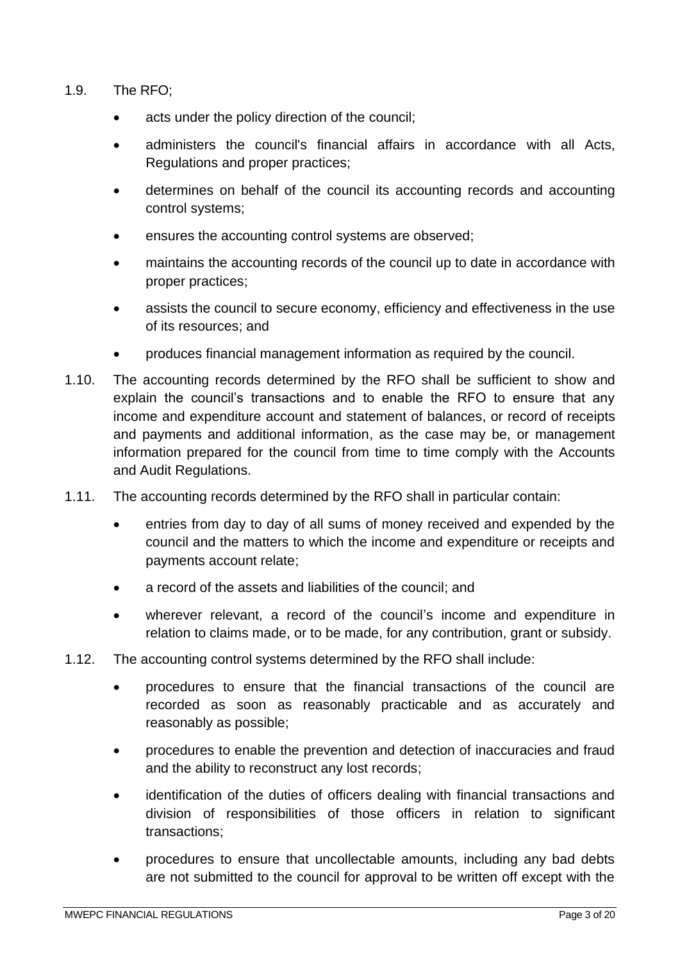- 1.9. The RFO;
	- acts under the policy direction of the council;
	- administers the council's financial affairs in accordance with all Acts, Regulations and proper practices;
	- determines on behalf of the council its accounting records and accounting control systems;
	- ensures the accounting control systems are observed;
	- maintains the accounting records of the council up to date in accordance with proper practices;
	- assists the council to secure economy, efficiency and effectiveness in the use of its resources; and
	- produces financial management information as required by the council.
- 1.10. The accounting records determined by the RFO shall be sufficient to show and explain the council's transactions and to enable the RFO to ensure that any income and expenditure account and statement of balances, or record of receipts and payments and additional information, as the case may be, or management information prepared for the council from time to time comply with the Accounts and Audit Regulations.
- 1.11. The accounting records determined by the RFO shall in particular contain:
	- entries from day to day of all sums of money received and expended by the council and the matters to which the income and expenditure or receipts and payments account relate;
	- a record of the assets and liabilities of the council; and
	- wherever relevant, a record of the council's income and expenditure in relation to claims made, or to be made, for any contribution, grant or subsidy.
- 1.12. The accounting control systems determined by the RFO shall include:
	- procedures to ensure that the financial transactions of the council are recorded as soon as reasonably practicable and as accurately and reasonably as possible;
	- procedures to enable the prevention and detection of inaccuracies and fraud and the ability to reconstruct any lost records;
	- identification of the duties of officers dealing with financial transactions and division of responsibilities of those officers in relation to significant transactions;
	- procedures to ensure that uncollectable amounts, including any bad debts are not submitted to the council for approval to be written off except with the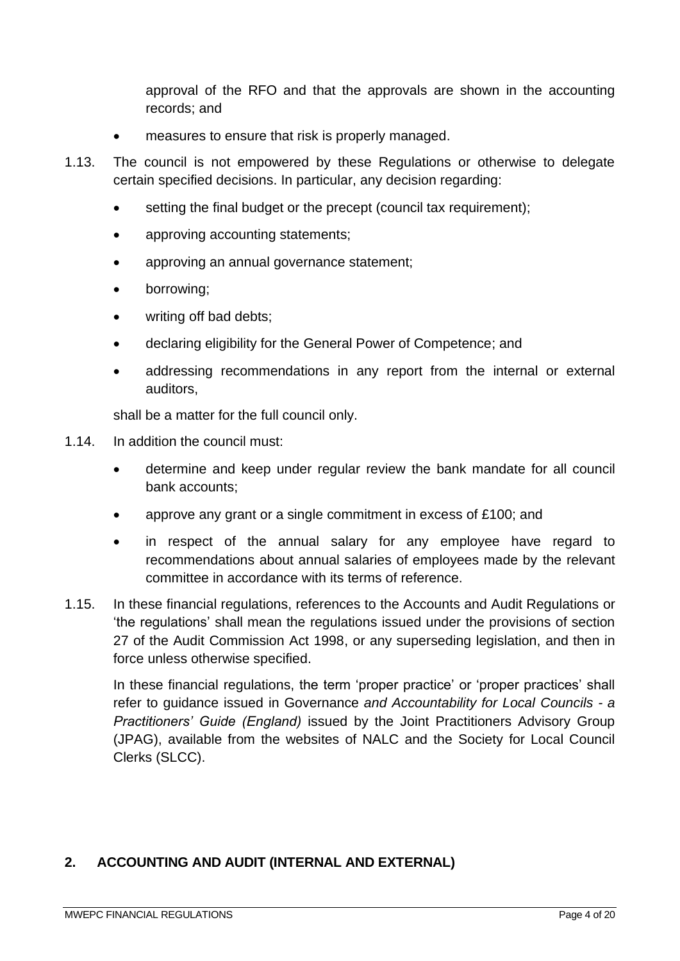approval of the RFO and that the approvals are shown in the accounting records; and

- measures to ensure that risk is properly managed.
- 1.13. The council is not empowered by these Regulations or otherwise to delegate certain specified decisions. In particular, any decision regarding:
	- setting the final budget or the precept (council tax requirement);
	- approving accounting statements;
	- approving an annual governance statement;
	- borrowing;
	- writing off bad debts:
	- declaring eligibility for the General Power of Competence; and
	- addressing recommendations in any report from the internal or external auditors,

shall be a matter for the full council only.

- 1.14. In addition the council must:
	- determine and keep under regular review the bank mandate for all council bank accounts;
	- approve any grant or a single commitment in excess of £100; and
	- in respect of the annual salary for any employee have regard to recommendations about annual salaries of employees made by the relevant committee in accordance with its terms of reference.
- 1.15. In these financial regulations, references to the Accounts and Audit Regulations or 'the regulations' shall mean the regulations issued under the provisions of section 27 of the Audit Commission Act 1998, or any superseding legislation, and then in force unless otherwise specified.

In these financial regulations, the term 'proper practice' or 'proper practices' shall refer to guidance issued in Governance *and Accountability for Local Councils - a Practitioners' Guide (England)* issued by the Joint Practitioners Advisory Group (JPAG), available from the websites of NALC and the Society for Local Council Clerks (SLCC).

#### <span id="page-3-0"></span>**2. ACCOUNTING AND AUDIT (INTERNAL AND EXTERNAL)**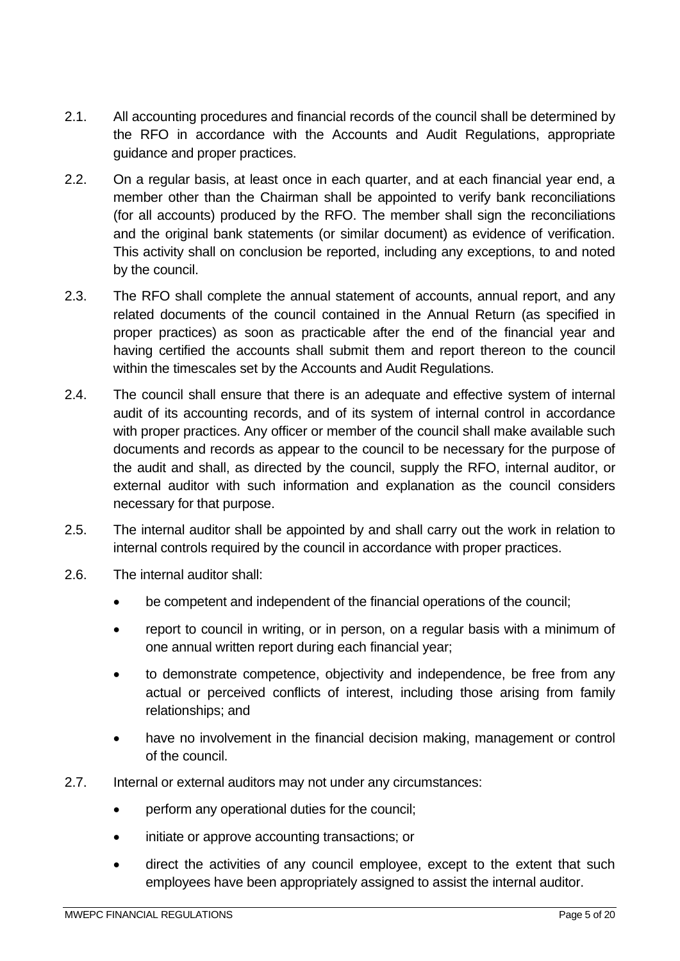- 2.1. All accounting procedures and financial records of the council shall be determined by the RFO in accordance with the Accounts and Audit Regulations, appropriate guidance and proper practices.
- 2.2. On a regular basis, at least once in each quarter, and at each financial year end, a member other than the Chairman shall be appointed to verify bank reconciliations (for all accounts) produced by the RFO. The member shall sign the reconciliations and the original bank statements (or similar document) as evidence of verification. This activity shall on conclusion be reported, including any exceptions, to and noted by the council.
- 2.3. The RFO shall complete the annual statement of accounts, annual report, and any related documents of the council contained in the Annual Return (as specified in proper practices) as soon as practicable after the end of the financial year and having certified the accounts shall submit them and report thereon to the council within the timescales set by the Accounts and Audit Regulations.
- 2.4. The council shall ensure that there is an adequate and effective system of internal audit of its accounting records, and of its system of internal control in accordance with proper practices. Any officer or member of the council shall make available such documents and records as appear to the council to be necessary for the purpose of the audit and shall, as directed by the council, supply the RFO, internal auditor, or external auditor with such information and explanation as the council considers necessary for that purpose.
- 2.5. The internal auditor shall be appointed by and shall carry out the work in relation to internal controls required by the council in accordance with proper practices.
- 2.6. The internal auditor shall:
	- be competent and independent of the financial operations of the council;
	- report to council in writing, or in person, on a regular basis with a minimum of one annual written report during each financial year;
	- to demonstrate competence, objectivity and independence, be free from any actual or perceived conflicts of interest, including those arising from family relationships; and
	- have no involvement in the financial decision making, management or control of the council.
- 2.7. Internal or external auditors may not under any circumstances:
	- perform any operational duties for the council;
	- initiate or approve accounting transactions; or
	- direct the activities of any council employee, except to the extent that such employees have been appropriately assigned to assist the internal auditor.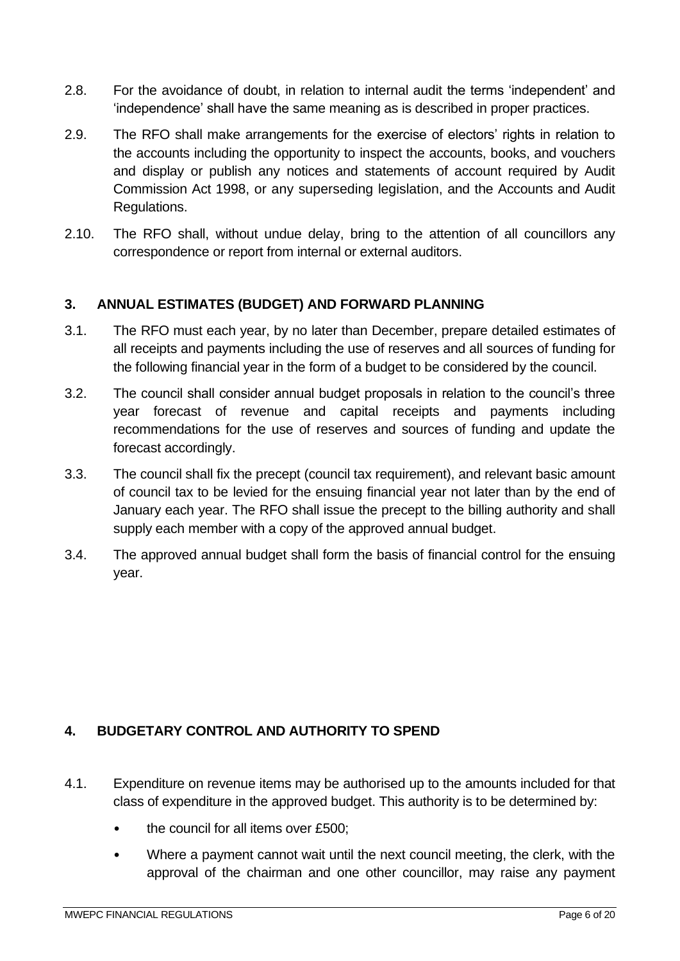- 2.8. For the avoidance of doubt, in relation to internal audit the terms 'independent' and 'independence' shall have the same meaning as is described in proper practices.
- 2.9. The RFO shall make arrangements for the exercise of electors' rights in relation to the accounts including the opportunity to inspect the accounts, books, and vouchers and display or publish any notices and statements of account required by Audit Commission Act 1998, or any superseding legislation, and the Accounts and Audit Regulations.
- 2.10. The RFO shall, without undue delay, bring to the attention of all councillors any correspondence or report from internal or external auditors.

# <span id="page-5-0"></span>**3. ANNUAL ESTIMATES (BUDGET) AND FORWARD PLANNING**

- 3.1. The RFO must each year, by no later than December, prepare detailed estimates of all receipts and payments including the use of reserves and all sources of funding for the following financial year in the form of a budget to be considered by the council.
- 3.2. The council shall consider annual budget proposals in relation to the council's three year forecast of revenue and capital receipts and payments including recommendations for the use of reserves and sources of funding and update the forecast accordingly.
- 3.3. The council shall fix the precept (council tax requirement), and relevant basic amount of council tax to be levied for the ensuing financial year not later than by the end of January each year. The RFO shall issue the precept to the billing authority and shall supply each member with a copy of the approved annual budget.
- 3.4. The approved annual budget shall form the basis of financial control for the ensuing year.

#### <span id="page-5-1"></span>**4. BUDGETARY CONTROL AND AUTHORITY TO SPEND**

- 4.1. Expenditure on revenue items may be authorised up to the amounts included for that class of expenditure in the approved budget. This authority is to be determined by:
	- the council for all items over £500;
	- Where a payment cannot wait until the next council meeting, the clerk, with the approval of the chairman and one other councillor, may raise any payment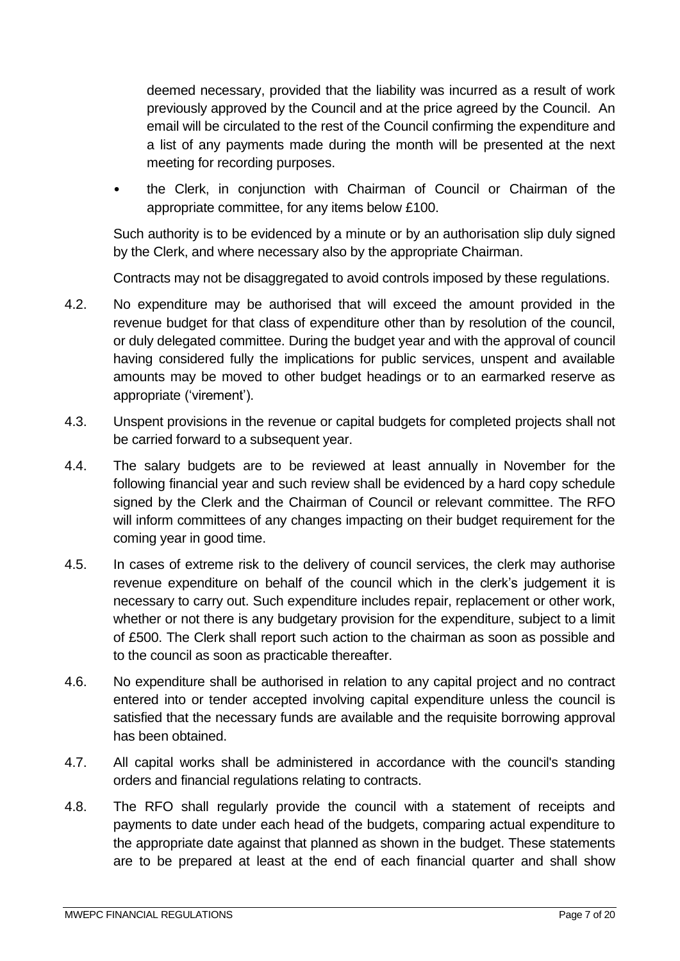deemed necessary, provided that the liability was incurred as a result of work previously approved by the Council and at the price agreed by the Council. An email will be circulated to the rest of the Council confirming the expenditure and a list of any payments made during the month will be presented at the next meeting for recording purposes.

• the Clerk, in conjunction with Chairman of Council or Chairman of the appropriate committee, for any items below £100.

Such authority is to be evidenced by a minute or by an authorisation slip duly signed by the Clerk, and where necessary also by the appropriate Chairman.

Contracts may not be disaggregated to avoid controls imposed by these regulations.

- 4.2. No expenditure may be authorised that will exceed the amount provided in the revenue budget for that class of expenditure other than by resolution of the council, or duly delegated committee. During the budget year and with the approval of council having considered fully the implications for public services, unspent and available amounts may be moved to other budget headings or to an earmarked reserve as appropriate ('virement').
- 4.3. Unspent provisions in the revenue or capital budgets for completed projects shall not be carried forward to a subsequent year.
- 4.4. The salary budgets are to be reviewed at least annually in November for the following financial year and such review shall be evidenced by a hard copy schedule signed by the Clerk and the Chairman of Council or relevant committee. The RFO will inform committees of any changes impacting on their budget requirement for the coming year in good time.
- 4.5. In cases of extreme risk to the delivery of council services, the clerk may authorise revenue expenditure on behalf of the council which in the clerk's judgement it is necessary to carry out. Such expenditure includes repair, replacement or other work, whether or not there is any budgetary provision for the expenditure, subject to a limit of £500. The Clerk shall report such action to the chairman as soon as possible and to the council as soon as practicable thereafter.
- 4.6. No expenditure shall be authorised in relation to any capital project and no contract entered into or tender accepted involving capital expenditure unless the council is satisfied that the necessary funds are available and the requisite borrowing approval has been obtained.
- 4.7. All capital works shall be administered in accordance with the council's standing orders and financial regulations relating to contracts.
- 4.8. The RFO shall regularly provide the council with a statement of receipts and payments to date under each head of the budgets, comparing actual expenditure to the appropriate date against that planned as shown in the budget. These statements are to be prepared at least at the end of each financial quarter and shall show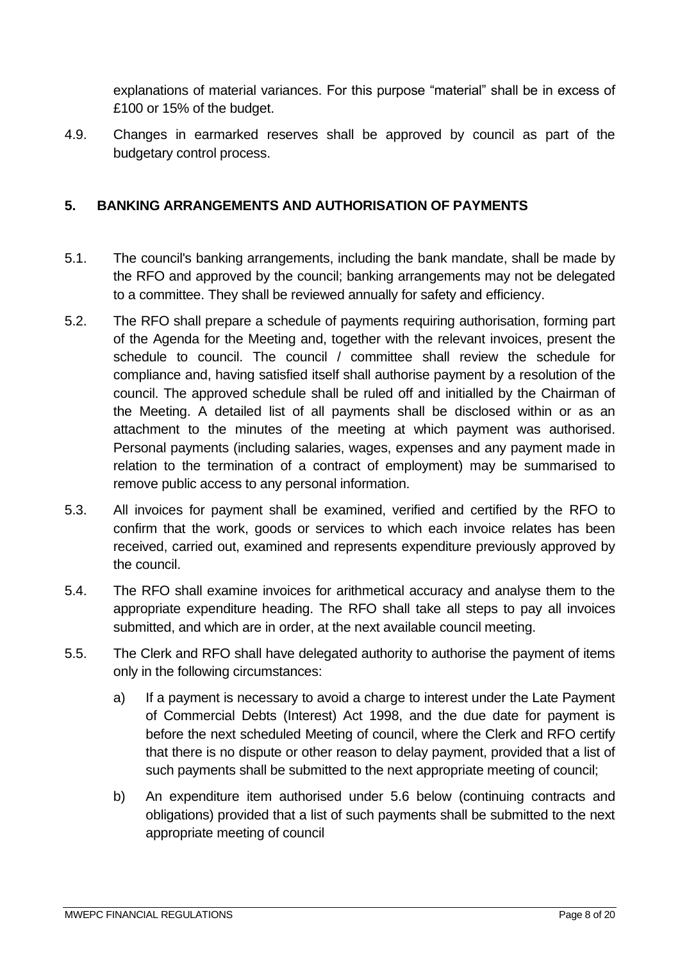explanations of material variances. For this purpose "material" shall be in excess of £100 or 15% of the budget.

4.9. Changes in earmarked reserves shall be approved by council as part of the budgetary control process.

## <span id="page-7-0"></span>**5. BANKING ARRANGEMENTS AND AUTHORISATION OF PAYMENTS**

- 5.1. The council's banking arrangements, including the bank mandate, shall be made by the RFO and approved by the council; banking arrangements may not be delegated to a committee. They shall be reviewed annually for safety and efficiency.
- 5.2. The RFO shall prepare a schedule of payments requiring authorisation, forming part of the Agenda for the Meeting and, together with the relevant invoices, present the schedule to council. The council / committee shall review the schedule for compliance and, having satisfied itself shall authorise payment by a resolution of the council. The approved schedule shall be ruled off and initialled by the Chairman of the Meeting. A detailed list of all payments shall be disclosed within or as an attachment to the minutes of the meeting at which payment was authorised. Personal payments (including salaries, wages, expenses and any payment made in relation to the termination of a contract of employment) may be summarised to remove public access to any personal information.
- 5.3. All invoices for payment shall be examined, verified and certified by the RFO to confirm that the work, goods or services to which each invoice relates has been received, carried out, examined and represents expenditure previously approved by the council.
- 5.4. The RFO shall examine invoices for arithmetical accuracy and analyse them to the appropriate expenditure heading. The RFO shall take all steps to pay all invoices submitted, and which are in order, at the next available council meeting.
- 5.5. The Clerk and RFO shall have delegated authority to authorise the payment of items only in the following circumstances:
	- a) If a payment is necessary to avoid a charge to interest under the Late Payment of Commercial Debts (Interest) Act 1998, and the due date for payment is before the next scheduled Meeting of council, where the Clerk and RFO certify that there is no dispute or other reason to delay payment, provided that a list of such payments shall be submitted to the next appropriate meeting of council;
	- b) An expenditure item authorised under 5.6 below (continuing contracts and obligations) provided that a list of such payments shall be submitted to the next appropriate meeting of council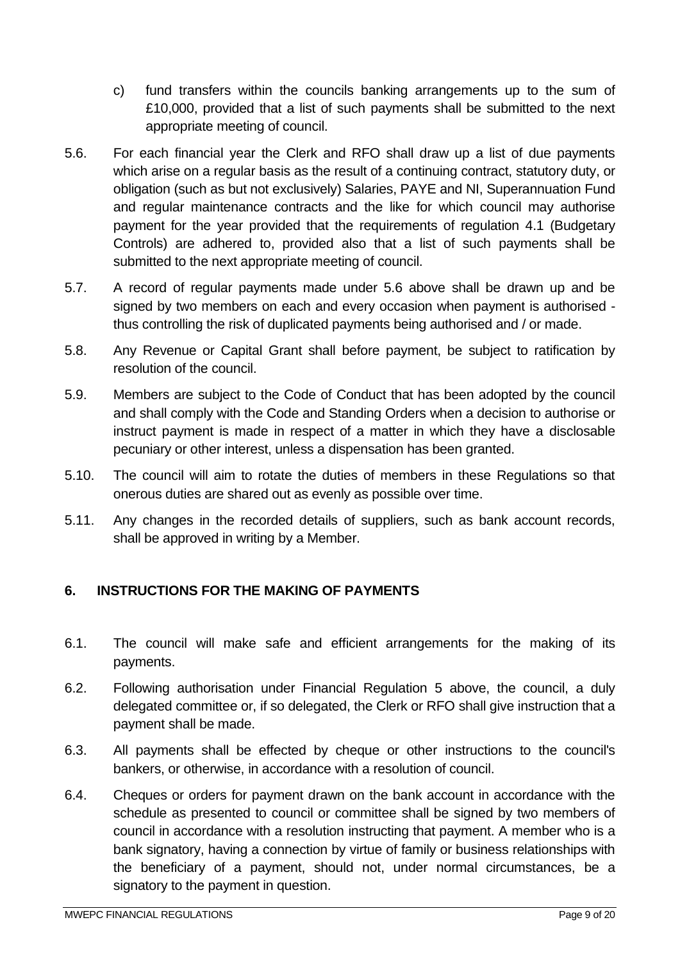- c) fund transfers within the councils banking arrangements up to the sum of £10,000, provided that a list of such payments shall be submitted to the next appropriate meeting of council.
- 5.6. For each financial year the Clerk and RFO shall draw up a list of due payments which arise on a regular basis as the result of a continuing contract, statutory duty, or obligation (such as but not exclusively) Salaries, PAYE and NI, Superannuation Fund and regular maintenance contracts and the like for which council may authorise payment for the year provided that the requirements of regulation 4.1 (Budgetary Controls) are adhered to, provided also that a list of such payments shall be submitted to the next appropriate meeting of council.
- 5.7. A record of regular payments made under 5.6 above shall be drawn up and be signed by two members on each and every occasion when payment is authorised thus controlling the risk of duplicated payments being authorised and / or made.
- 5.8. Any Revenue or Capital Grant shall before payment, be subject to ratification by resolution of the council.
- 5.9. Members are subject to the Code of Conduct that has been adopted by the council and shall comply with the Code and Standing Orders when a decision to authorise or instruct payment is made in respect of a matter in which they have a disclosable pecuniary or other interest, unless a dispensation has been granted.
- 5.10. The council will aim to rotate the duties of members in these Regulations so that onerous duties are shared out as evenly as possible over time.
- 5.11. Any changes in the recorded details of suppliers, such as bank account records, shall be approved in writing by a Member.

# <span id="page-8-0"></span>**6. INSTRUCTIONS FOR THE MAKING OF PAYMENTS**

- 6.1. The council will make safe and efficient arrangements for the making of its payments.
- 6.2. Following authorisation under Financial Regulation 5 above, the council, a duly delegated committee or, if so delegated, the Clerk or RFO shall give instruction that a payment shall be made.
- 6.3. All payments shall be effected by cheque or other instructions to the council's bankers, or otherwise, in accordance with a resolution of council.
- 6.4. Cheques or orders for payment drawn on the bank account in accordance with the schedule as presented to council or committee shall be signed by two members of council in accordance with a resolution instructing that payment. A member who is a bank signatory, having a connection by virtue of family or business relationships with the beneficiary of a payment, should not, under normal circumstances, be a signatory to the payment in question.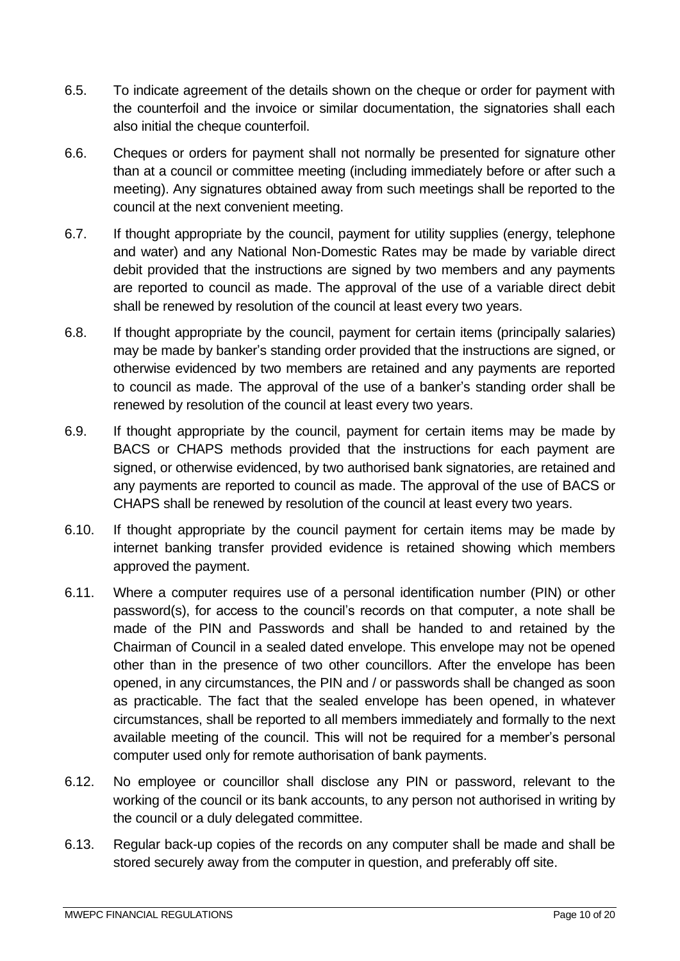- 6.5. To indicate agreement of the details shown on the cheque or order for payment with the counterfoil and the invoice or similar documentation, the signatories shall each also initial the cheque counterfoil.
- 6.6. Cheques or orders for payment shall not normally be presented for signature other than at a council or committee meeting (including immediately before or after such a meeting). Any signatures obtained away from such meetings shall be reported to the council at the next convenient meeting.
- 6.7. If thought appropriate by the council, payment for utility supplies (energy, telephone and water) and any National Non-Domestic Rates may be made by variable direct debit provided that the instructions are signed by two members and any payments are reported to council as made. The approval of the use of a variable direct debit shall be renewed by resolution of the council at least every two years.
- 6.8. If thought appropriate by the council, payment for certain items (principally salaries) may be made by banker's standing order provided that the instructions are signed, or otherwise evidenced by two members are retained and any payments are reported to council as made. The approval of the use of a banker's standing order shall be renewed by resolution of the council at least every two years.
- 6.9. If thought appropriate by the council, payment for certain items may be made by BACS or CHAPS methods provided that the instructions for each payment are signed, or otherwise evidenced, by two authorised bank signatories, are retained and any payments are reported to council as made. The approval of the use of BACS or CHAPS shall be renewed by resolution of the council at least every two years.
- 6.10. If thought appropriate by the council payment for certain items may be made by internet banking transfer provided evidence is retained showing which members approved the payment.
- 6.11. Where a computer requires use of a personal identification number (PIN) or other password(s), for access to the council's records on that computer, a note shall be made of the PIN and Passwords and shall be handed to and retained by the Chairman of Council in a sealed dated envelope. This envelope may not be opened other than in the presence of two other councillors. After the envelope has been opened, in any circumstances, the PIN and / or passwords shall be changed as soon as practicable. The fact that the sealed envelope has been opened, in whatever circumstances, shall be reported to all members immediately and formally to the next available meeting of the council. This will not be required for a member's personal computer used only for remote authorisation of bank payments.
- 6.12. No employee or councillor shall disclose any PIN or password, relevant to the working of the council or its bank accounts, to any person not authorised in writing by the council or a duly delegated committee.
- 6.13. Regular back-up copies of the records on any computer shall be made and shall be stored securely away from the computer in question, and preferably off site.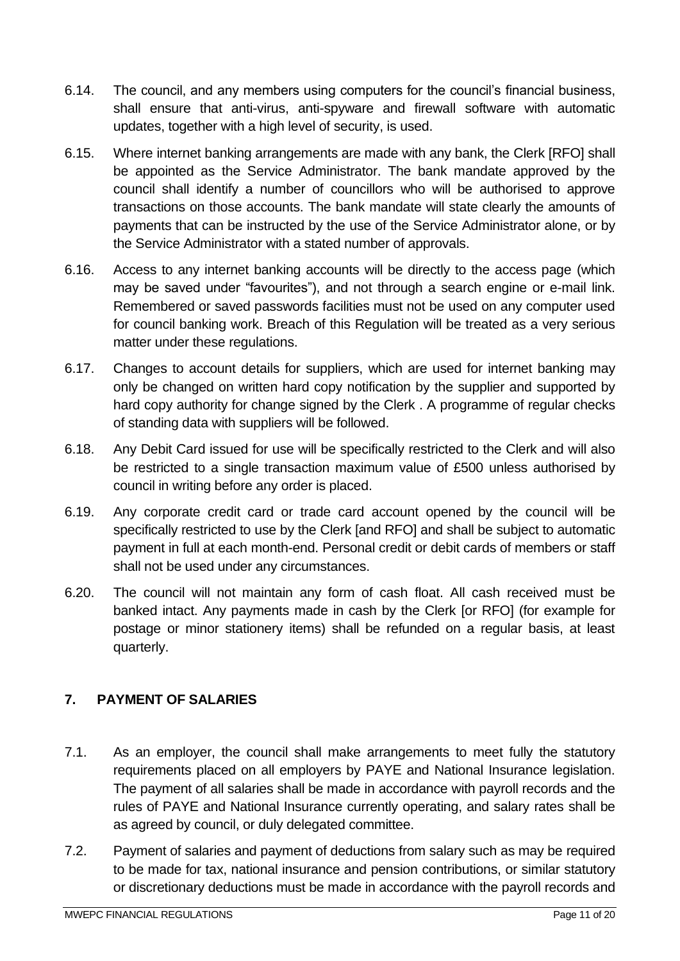- 6.14. The council, and any members using computers for the council's financial business, shall ensure that anti-virus, anti-spyware and firewall software with automatic updates, together with a high level of security, is used.
- 6.15. Where internet banking arrangements are made with any bank, the Clerk [RFO] shall be appointed as the Service Administrator. The bank mandate approved by the council shall identify a number of councillors who will be authorised to approve transactions on those accounts. The bank mandate will state clearly the amounts of payments that can be instructed by the use of the Service Administrator alone, or by the Service Administrator with a stated number of approvals.
- 6.16. Access to any internet banking accounts will be directly to the access page (which may be saved under "favourites"), and not through a search engine or e-mail link. Remembered or saved passwords facilities must not be used on any computer used for council banking work. Breach of this Regulation will be treated as a very serious matter under these regulations.
- 6.17. Changes to account details for suppliers, which are used for internet banking may only be changed on written hard copy notification by the supplier and supported by hard copy authority for change signed by the Clerk . A programme of regular checks of standing data with suppliers will be followed.
- 6.18. Any Debit Card issued for use will be specifically restricted to the Clerk and will also be restricted to a single transaction maximum value of £500 unless authorised by council in writing before any order is placed.
- 6.19. Any corporate credit card or trade card account opened by the council will be specifically restricted to use by the Clerk [and RFO] and shall be subject to automatic payment in full at each month-end. Personal credit or debit cards of members or staff shall not be used under any circumstances.
- 6.20. The council will not maintain any form of cash float. All cash received must be banked intact. Any payments made in cash by the Clerk [or RFO] (for example for postage or minor stationery items) shall be refunded on a regular basis, at least quarterly.

# <span id="page-10-0"></span>**7. PAYMENT OF SALARIES**

- 7.1. As an employer, the council shall make arrangements to meet fully the statutory requirements placed on all employers by PAYE and National Insurance legislation. The payment of all salaries shall be made in accordance with payroll records and the rules of PAYE and National Insurance currently operating, and salary rates shall be as agreed by council, or duly delegated committee.
- 7.2. Payment of salaries and payment of deductions from salary such as may be required to be made for tax, national insurance and pension contributions, or similar statutory or discretionary deductions must be made in accordance with the payroll records and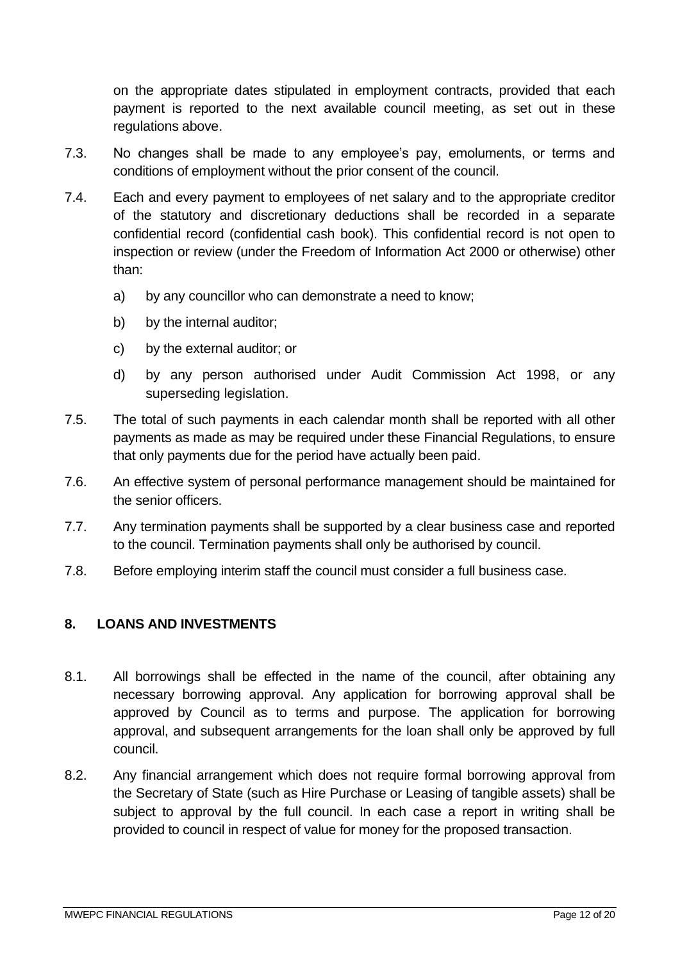on the appropriate dates stipulated in employment contracts, provided that each payment is reported to the next available council meeting, as set out in these regulations above.

- 7.3. No changes shall be made to any employee's pay, emoluments, or terms and conditions of employment without the prior consent of the council.
- 7.4. Each and every payment to employees of net salary and to the appropriate creditor of the statutory and discretionary deductions shall be recorded in a separate confidential record (confidential cash book). This confidential record is not open to inspection or review (under the Freedom of Information Act 2000 or otherwise) other than:
	- a) by any councillor who can demonstrate a need to know;
	- b) by the internal auditor:
	- c) by the external auditor; or
	- d) by any person authorised under Audit Commission Act 1998, or any superseding legislation.
- 7.5. The total of such payments in each calendar month shall be reported with all other payments as made as may be required under these Financial Regulations, to ensure that only payments due for the period have actually been paid.
- 7.6. An effective system of personal performance management should be maintained for the senior officers.
- 7.7. Any termination payments shall be supported by a clear business case and reported to the council. Termination payments shall only be authorised by council.
- 7.8. Before employing interim staff the council must consider a full business case.

#### <span id="page-11-0"></span>**8. LOANS AND INVESTMENTS**

- 8.1. All borrowings shall be effected in the name of the council, after obtaining any necessary borrowing approval. Any application for borrowing approval shall be approved by Council as to terms and purpose. The application for borrowing approval, and subsequent arrangements for the loan shall only be approved by full council.
- 8.2. Any financial arrangement which does not require formal borrowing approval from the Secretary of State (such as Hire Purchase or Leasing of tangible assets) shall be subject to approval by the full council. In each case a report in writing shall be provided to council in respect of value for money for the proposed transaction.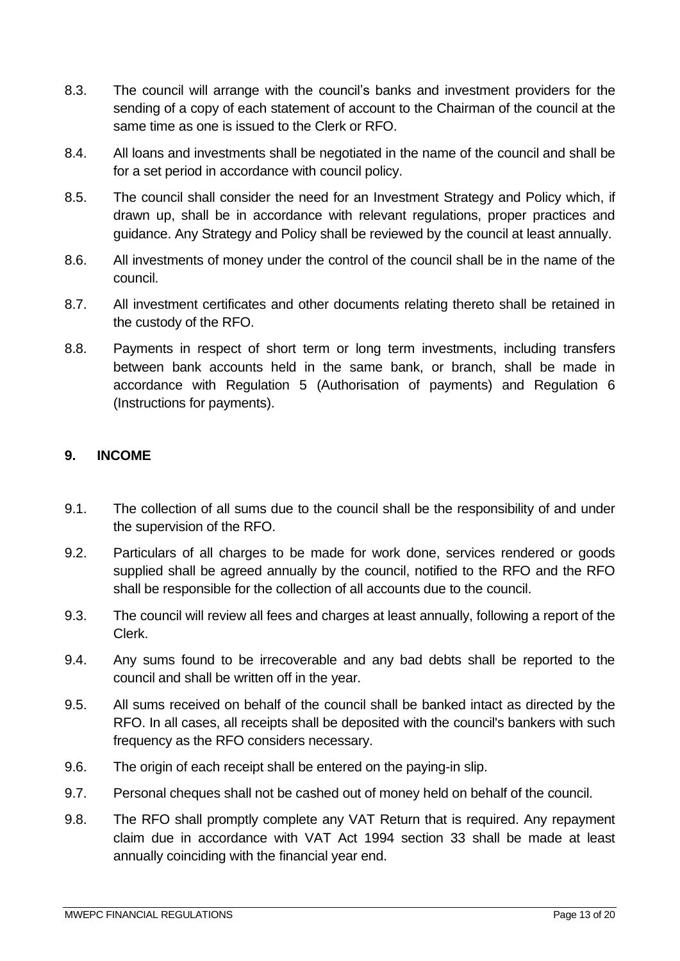- 8.3. The council will arrange with the council's banks and investment providers for the sending of a copy of each statement of account to the Chairman of the council at the same time as one is issued to the Clerk or RFO.
- 8.4. All loans and investments shall be negotiated in the name of the council and shall be for a set period in accordance with council policy.
- 8.5. The council shall consider the need for an Investment Strategy and Policy which, if drawn up, shall be in accordance with relevant regulations, proper practices and guidance. Any Strategy and Policy shall be reviewed by the council at least annually.
- 8.6. All investments of money under the control of the council shall be in the name of the council.
- 8.7. All investment certificates and other documents relating thereto shall be retained in the custody of the RFO.
- 8.8. Payments in respect of short term or long term investments, including transfers between bank accounts held in the same bank, or branch, shall be made in accordance with Regulation 5 (Authorisation of payments) and Regulation 6 (Instructions for payments).

#### <span id="page-12-0"></span>**9. INCOME**

- 9.1. The collection of all sums due to the council shall be the responsibility of and under the supervision of the RFO.
- 9.2. Particulars of all charges to be made for work done, services rendered or goods supplied shall be agreed annually by the council, notified to the RFO and the RFO shall be responsible for the collection of all accounts due to the council.
- 9.3. The council will review all fees and charges at least annually, following a report of the Clerk.
- 9.4. Any sums found to be irrecoverable and any bad debts shall be reported to the council and shall be written off in the year.
- 9.5. All sums received on behalf of the council shall be banked intact as directed by the RFO. In all cases, all receipts shall be deposited with the council's bankers with such frequency as the RFO considers necessary.
- 9.6. The origin of each receipt shall be entered on the paying-in slip.
- 9.7. Personal cheques shall not be cashed out of money held on behalf of the council.
- 9.8. The RFO shall promptly complete any VAT Return that is required. Any repayment claim due in accordance with VAT Act 1994 section 33 shall be made at least annually coinciding with the financial year end.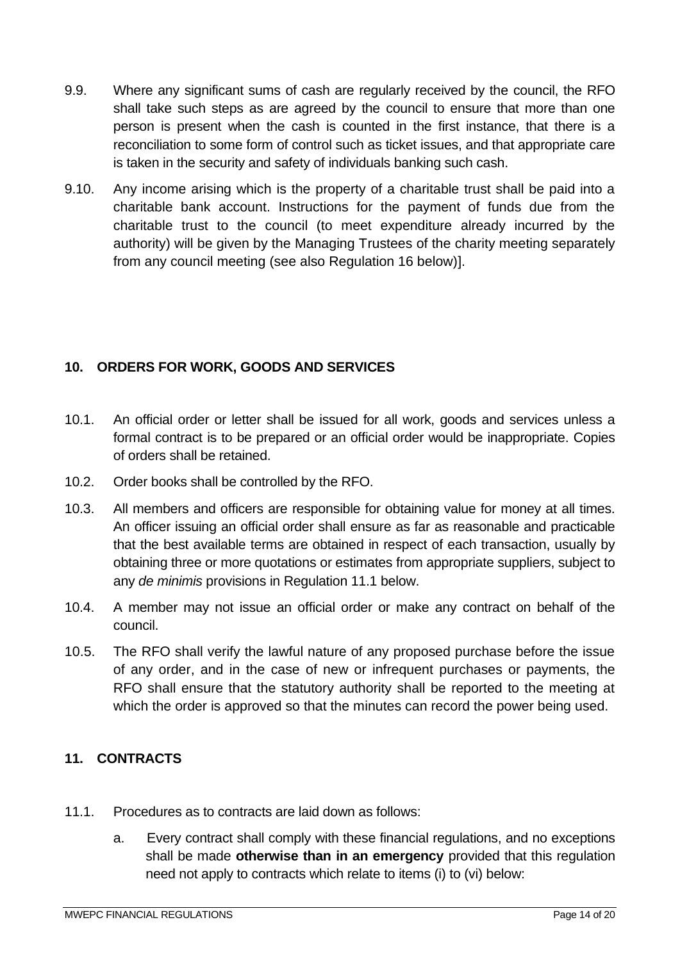- 9.9. Where any significant sums of cash are regularly received by the council, the RFO shall take such steps as are agreed by the council to ensure that more than one person is present when the cash is counted in the first instance, that there is a reconciliation to some form of control such as ticket issues, and that appropriate care is taken in the security and safety of individuals banking such cash.
- 9.10. Any income arising which is the property of a charitable trust shall be paid into a charitable bank account. Instructions for the payment of funds due from the charitable trust to the council (to meet expenditure already incurred by the authority) will be given by the Managing Trustees of the charity meeting separately from any council meeting (see also Regulation 16 below)].

# <span id="page-13-0"></span>**10. ORDERS FOR WORK, GOODS AND SERVICES**

- 10.1. An official order or letter shall be issued for all work, goods and services unless a formal contract is to be prepared or an official order would be inappropriate. Copies of orders shall be retained.
- 10.2. Order books shall be controlled by the RFO.
- 10.3. All members and officers are responsible for obtaining value for money at all times. An officer issuing an official order shall ensure as far as reasonable and practicable that the best available terms are obtained in respect of each transaction, usually by obtaining three or more quotations or estimates from appropriate suppliers, subject to any *de minimis* provisions in Regulation 11.1 below.
- 10.4. A member may not issue an official order or make any contract on behalf of the council.
- 10.5. The RFO shall verify the lawful nature of any proposed purchase before the issue of any order, and in the case of new or infrequent purchases or payments, the RFO shall ensure that the statutory authority shall be reported to the meeting at which the order is approved so that the minutes can record the power being used.

#### <span id="page-13-1"></span>**11. CONTRACTS**

- 11.1. Procedures as to contracts are laid down as follows:
	- a. Every contract shall comply with these financial regulations, and no exceptions shall be made **otherwise than in an emergency** provided that this regulation need not apply to contracts which relate to items (i) to (vi) below: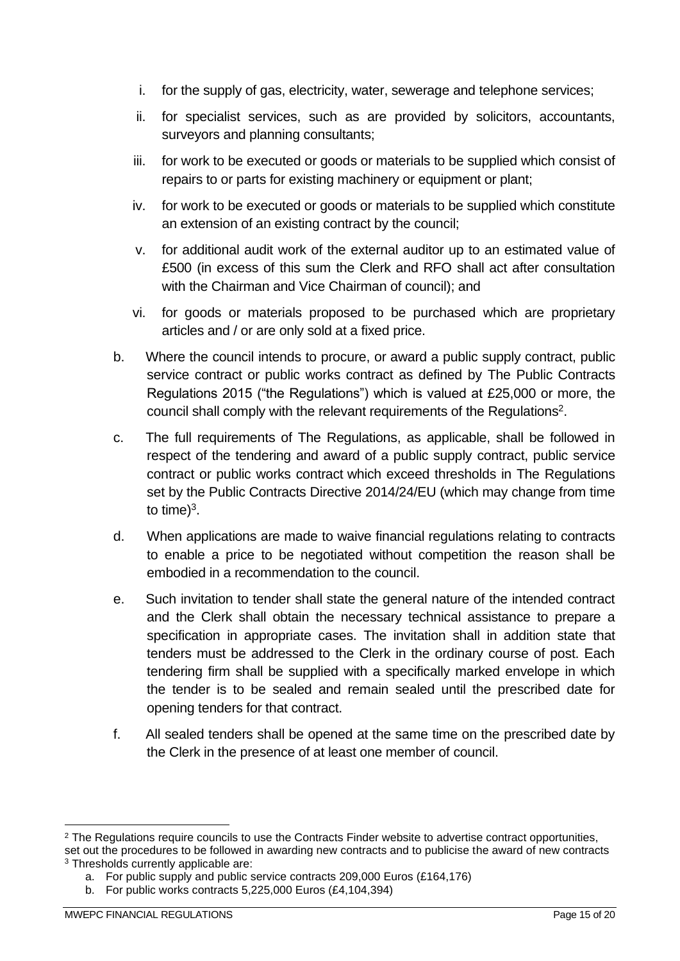- i. for the supply of gas, electricity, water, sewerage and telephone services;
- ii. for specialist services, such as are provided by solicitors, accountants, surveyors and planning consultants;
- iii. for work to be executed or goods or materials to be supplied which consist of repairs to or parts for existing machinery or equipment or plant;
- iv. for work to be executed or goods or materials to be supplied which constitute an extension of an existing contract by the council;
- v. for additional audit work of the external auditor up to an estimated value of £500 (in excess of this sum the Clerk and RFO shall act after consultation with the Chairman and Vice Chairman of council); and
- vi. for goods or materials proposed to be purchased which are proprietary articles and / or are only sold at a fixed price.
- b. Where the council intends to procure, or award a public supply contract, public service contract or public works contract as defined by The Public Contracts Regulations 2015 ("the Regulations") which is valued at £25,000 or more, the council shall comply with the relevant requirements of the Regulations<sup>2</sup>.
- c. The full requirements of The Regulations, as applicable, shall be followed in respect of the tendering and award of a public supply contract, public service contract or public works contract which exceed thresholds in The Regulations set by the Public Contracts Directive 2014/24/EU (which may change from time to time) $3$ .
- d. When applications are made to waive financial regulations relating to contracts to enable a price to be negotiated without competition the reason shall be embodied in a recommendation to the council.
- e. Such invitation to tender shall state the general nature of the intended contract and the Clerk shall obtain the necessary technical assistance to prepare a specification in appropriate cases. The invitation shall in addition state that tenders must be addressed to the Clerk in the ordinary course of post. Each tendering firm shall be supplied with a specifically marked envelope in which the tender is to be sealed and remain sealed until the prescribed date for opening tenders for that contract.
- f. All sealed tenders shall be opened at the same time on the prescribed date by the Clerk in the presence of at least one member of council.

<sup>&</sup>lt;sup>2</sup> The Regulations require councils to use the Contracts Finder website to advertise contract opportunities, set out the procedures to be followed in awarding new contracts and to publicise the award of new contracts <sup>3</sup> Thresholds currently applicable are:

a. For public supply and public service contracts 209,000 Euros (£164,176)

b. For public works contracts 5,225,000 Euros (£4,104,394)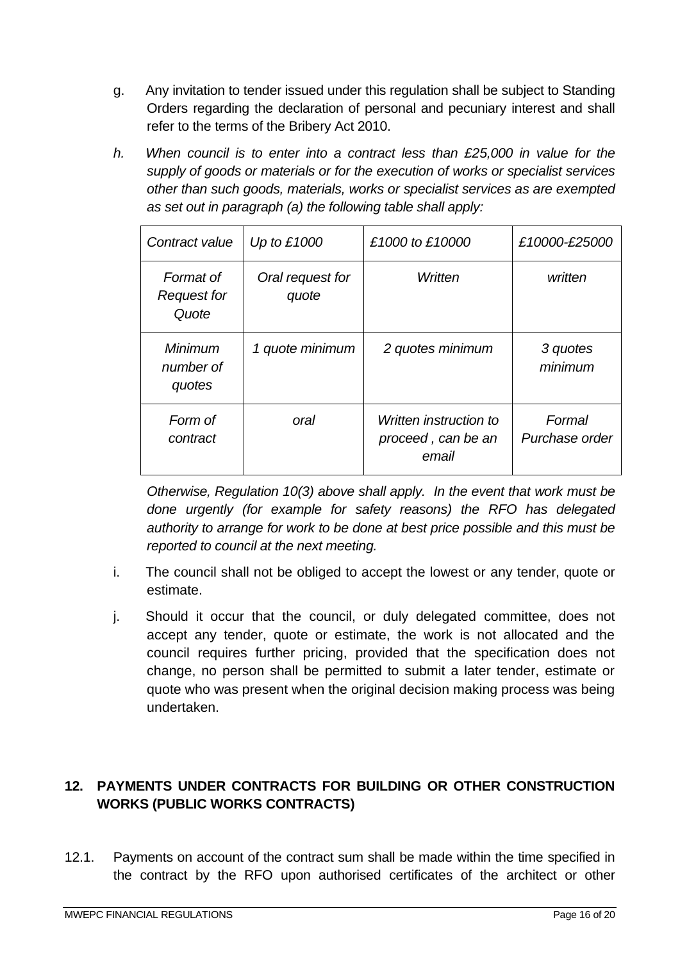- g. Any invitation to tender issued under this regulation shall be subject to Standing Orders regarding the declaration of personal and pecuniary interest and shall refer to the terms of the Bribery Act 2010.
- *h. When council is to enter into a contract less than £25,000 in value for the supply of goods or materials or for the execution of works or specialist services other than such goods, materials, works or specialist services as are exempted as set out in paragraph (a) the following table shall apply:*

| Contract value                           | Up to $£1000$             | £1000 to £10000                                       | £10000-£25000            |
|------------------------------------------|---------------------------|-------------------------------------------------------|--------------------------|
| Format of<br><b>Request for</b><br>Quote | Oral request for<br>quote | Written                                               | written                  |
| Minimum<br>number of<br>quotes           | 1 quote minimum           | 2 quotes minimum                                      | 3 quotes<br>minimum      |
| Form of<br>contract                      | oral                      | Written instruction to<br>proceed, can be an<br>email | Formal<br>Purchase order |

*Otherwise, Regulation 10(3) above shall apply. In the event that work must be done urgently (for example for safety reasons) the RFO has delegated authority to arrange for work to be done at best price possible and this must be reported to council at the next meeting.*

- i. The council shall not be obliged to accept the lowest or any tender, quote or estimate.
- j. Should it occur that the council, or duly delegated committee, does not accept any tender, quote or estimate, the work is not allocated and the council requires further pricing, provided that the specification does not change, no person shall be permitted to submit a later tender, estimate or quote who was present when the original decision making process was being undertaken.

# <span id="page-15-0"></span>**12. PAYMENTS UNDER CONTRACTS FOR BUILDING OR OTHER CONSTRUCTION WORKS (PUBLIC WORKS CONTRACTS)**

12.1. Payments on account of the contract sum shall be made within the time specified in the contract by the RFO upon authorised certificates of the architect or other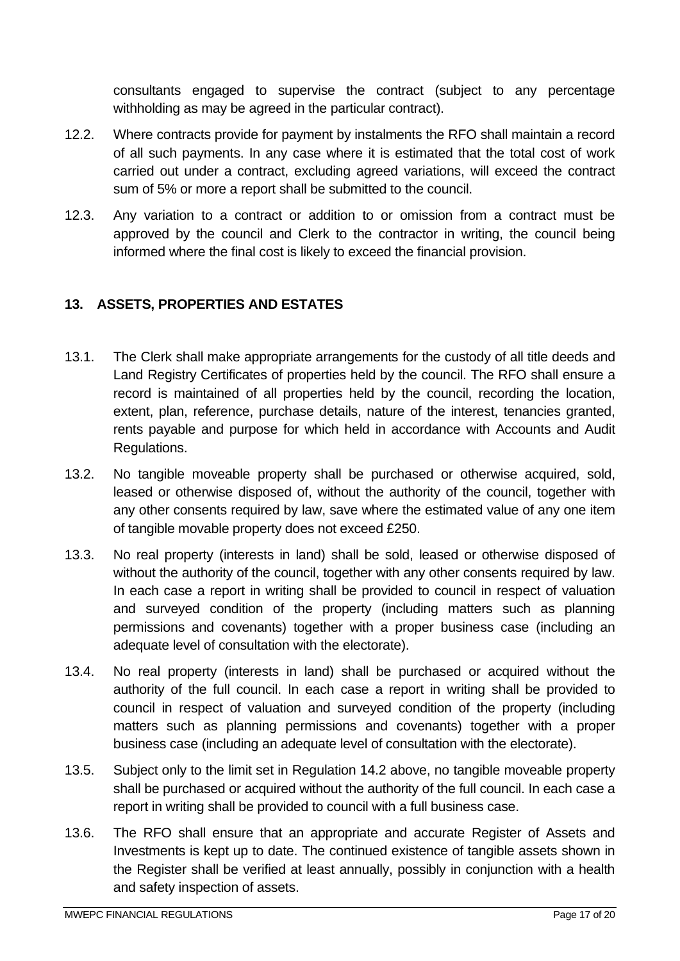consultants engaged to supervise the contract (subject to any percentage withholding as may be agreed in the particular contract).

- 12.2. Where contracts provide for payment by instalments the RFO shall maintain a record of all such payments. In any case where it is estimated that the total cost of work carried out under a contract, excluding agreed variations, will exceed the contract sum of 5% or more a report shall be submitted to the council.
- 12.3. Any variation to a contract or addition to or omission from a contract must be approved by the council and Clerk to the contractor in writing, the council being informed where the final cost is likely to exceed the financial provision.

# <span id="page-16-0"></span>**13. ASSETS, PROPERTIES AND ESTATES**

- 13.1. The Clerk shall make appropriate arrangements for the custody of all title deeds and Land Registry Certificates of properties held by the council. The RFO shall ensure a record is maintained of all properties held by the council, recording the location, extent, plan, reference, purchase details, nature of the interest, tenancies granted, rents payable and purpose for which held in accordance with Accounts and Audit Regulations.
- 13.2. No tangible moveable property shall be purchased or otherwise acquired, sold, leased or otherwise disposed of, without the authority of the council, together with any other consents required by law, save where the estimated value of any one item of tangible movable property does not exceed £250.
- 13.3. No real property (interests in land) shall be sold, leased or otherwise disposed of without the authority of the council, together with any other consents required by law. In each case a report in writing shall be provided to council in respect of valuation and surveyed condition of the property (including matters such as planning permissions and covenants) together with a proper business case (including an adequate level of consultation with the electorate).
- 13.4. No real property (interests in land) shall be purchased or acquired without the authority of the full council. In each case a report in writing shall be provided to council in respect of valuation and surveyed condition of the property (including matters such as planning permissions and covenants) together with a proper business case (including an adequate level of consultation with the electorate).
- 13.5. Subject only to the limit set in Regulation 14.2 above, no tangible moveable property shall be purchased or acquired without the authority of the full council. In each case a report in writing shall be provided to council with a full business case.
- 13.6. The RFO shall ensure that an appropriate and accurate Register of Assets and Investments is kept up to date. The continued existence of tangible assets shown in the Register shall be verified at least annually, possibly in conjunction with a health and safety inspection of assets.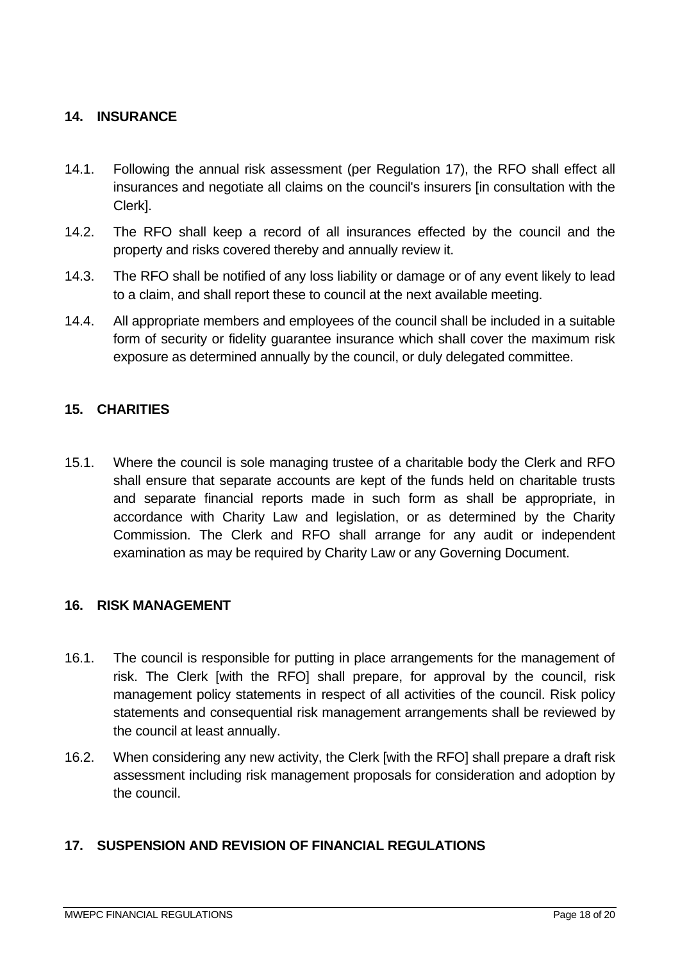# <span id="page-17-0"></span>**14. INSURANCE**

- 14.1. Following the annual risk assessment (per Regulation 17), the RFO shall effect all insurances and negotiate all claims on the council's insurers [in consultation with the Clerk].
- 14.2. The RFO shall keep a record of all insurances effected by the council and the property and risks covered thereby and annually review it.
- 14.3. The RFO shall be notified of any loss liability or damage or of any event likely to lead to a claim, and shall report these to council at the next available meeting.
- 14.4. All appropriate members and employees of the council shall be included in a suitable form of security or fidelity guarantee insurance which shall cover the maximum risk exposure as determined annually by the council, or duly delegated committee.

# <span id="page-17-1"></span>**15. CHARITIES**

15.1. Where the council is sole managing trustee of a charitable body the Clerk and RFO shall ensure that separate accounts are kept of the funds held on charitable trusts and separate financial reports made in such form as shall be appropriate, in accordance with Charity Law and legislation, or as determined by the Charity Commission. The Clerk and RFO shall arrange for any audit or independent examination as may be required by Charity Law or any Governing Document.

#### <span id="page-17-2"></span>**16. RISK MANAGEMENT**

- 16.1. The council is responsible for putting in place arrangements for the management of risk. The Clerk [with the RFO] shall prepare, for approval by the council, risk management policy statements in respect of all activities of the council. Risk policy statements and consequential risk management arrangements shall be reviewed by the council at least annually.
- 16.2. When considering any new activity, the Clerk [with the RFO] shall prepare a draft risk assessment including risk management proposals for consideration and adoption by the council.

#### <span id="page-17-3"></span>**17. SUSPENSION AND REVISION OF FINANCIAL REGULATIONS**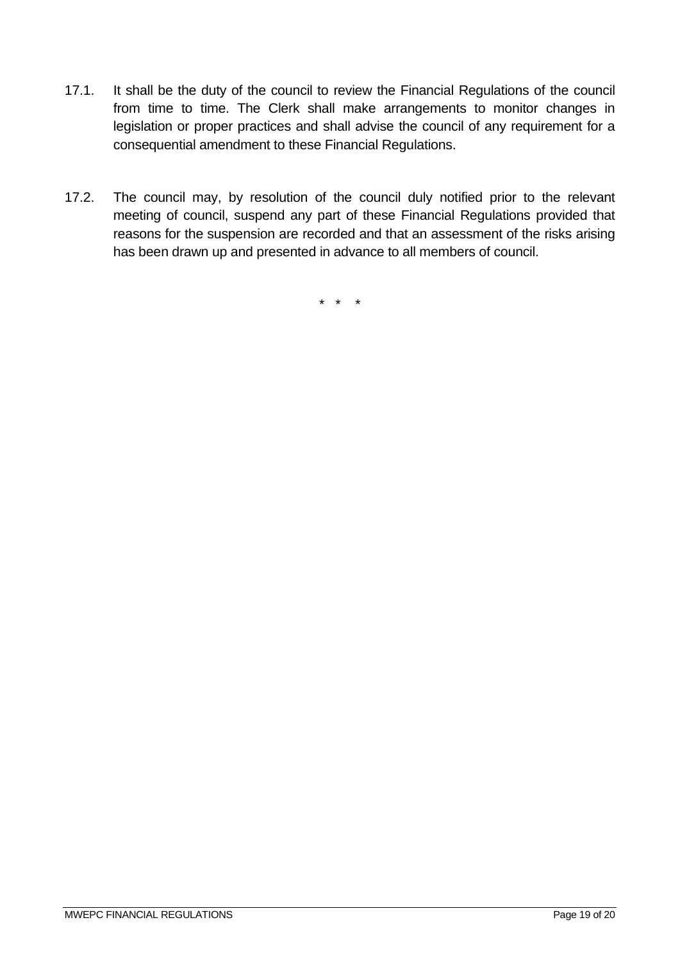- 17.1. It shall be the duty of the council to review the Financial Regulations of the council from time to time. The Clerk shall make arrangements to monitor changes in legislation or proper practices and shall advise the council of any requirement for a consequential amendment to these Financial Regulations.
- 17.2. The council may, by resolution of the council duly notified prior to the relevant meeting of council, suspend any part of these Financial Regulations provided that reasons for the suspension are recorded and that an assessment of the risks arising has been drawn up and presented in advance to all members of council.

\* \* \*